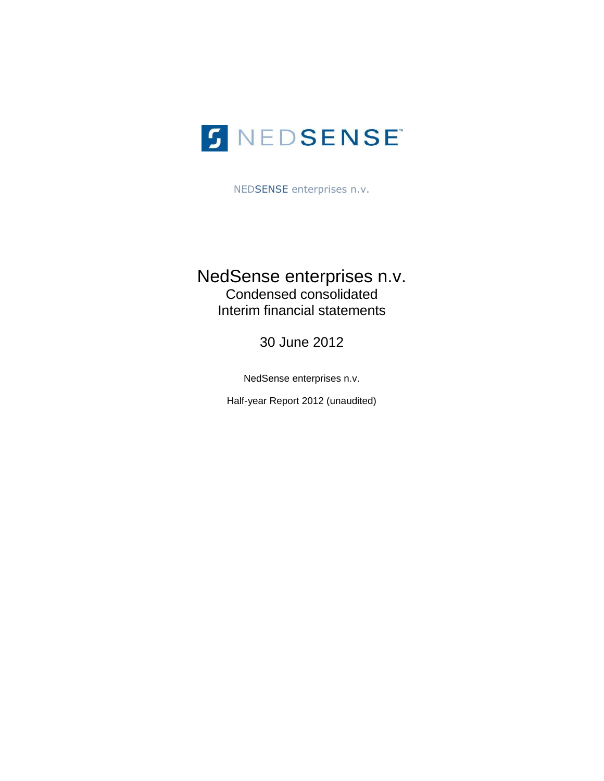

NEDSENSE enterprises n.v.

# NedSense enterprises n.v. Condensed consolidated Interim financial statements

30 June 2012

NedSense enterprises n.v.

Half-year Report 2012 (unaudited)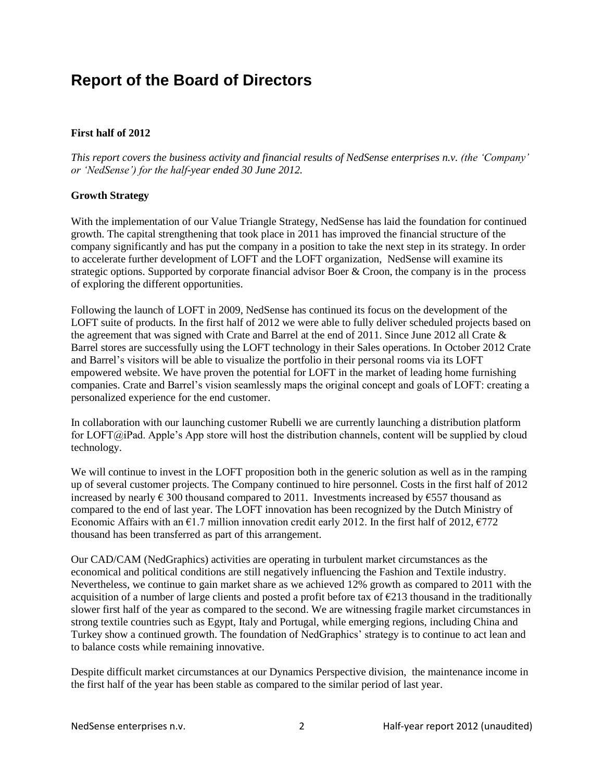# **Report of the Board of Directors**

# **First half of 2012**

*This report covers the business activity and financial results of NedSense enterprises n.v. (the 'Company' or 'NedSense') for the half-year ended 30 June 2012.* 

# **Growth Strategy**

With the implementation of our Value Triangle Strategy, NedSense has laid the foundation for continued growth. The capital strengthening that took place in 2011 has improved the financial structure of the company significantly and has put the company in a position to take the next step in its strategy. In order to accelerate further development of LOFT and the LOFT organization, NedSense will examine its strategic options. Supported by corporate financial advisor Boer & Croon, the company is in the process of exploring the different opportunities.

Following the launch of LOFT in 2009, NedSense has continued its focus on the development of the LOFT suite of products. In the first half of 2012 we were able to fully deliver scheduled projects based on the agreement that was signed with Crate and Barrel at the end of 2011. Since June 2012 all Crate & Barrel stores are successfully using the LOFT technology in their Sales operations. In October 2012 Crate and Barrel's visitors will be able to visualize the portfolio in their personal rooms via its LOFT empowered website. We have proven the potential for LOFT in the market of leading home furnishing companies. Crate and Barrel's vision seamlessly maps the original concept and goals of LOFT: creating a personalized experience for the end customer.

In collaboration with our launching customer Rubelli we are currently launching a distribution platform for LOFT@iPad. Apple's App store will host the distribution channels, content will be supplied by cloud technology.

We will continue to invest in the LOFT proposition both in the generic solution as well as in the ramping up of several customer projects. The Company continued to hire personnel. Costs in the first half of 2012 increased by nearly  $\epsilon$  300 thousand compared to 2011. Investments increased by  $\epsilon$ 557 thousand as compared to the end of last year. The LOFT innovation has been recognized by the Dutch Ministry of Economic Affairs with an  $\epsilon$ 1.7 million innovation credit early 2012. In the first half of 2012,  $\epsilon$ 772 thousand has been transferred as part of this arrangement.

Our CAD/CAM (NedGraphics) activities are operating in turbulent market circumstances as the economical and political conditions are still negatively influencing the Fashion and Textile industry. Nevertheless, we continue to gain market share as we achieved 12% growth as compared to 2011 with the acquisition of a number of large clients and posted a profit before tax of  $\epsilon$ 213 thousand in the traditionally slower first half of the year as compared to the second. We are witnessing fragile market circumstances in strong textile countries such as Egypt, Italy and Portugal, while emerging regions, including China and Turkey show a continued growth. The foundation of NedGraphics' strategy is to continue to act lean and to balance costs while remaining innovative.

Despite difficult market circumstances at our Dynamics Perspective division, the maintenance income in the first half of the year has been stable as compared to the similar period of last year.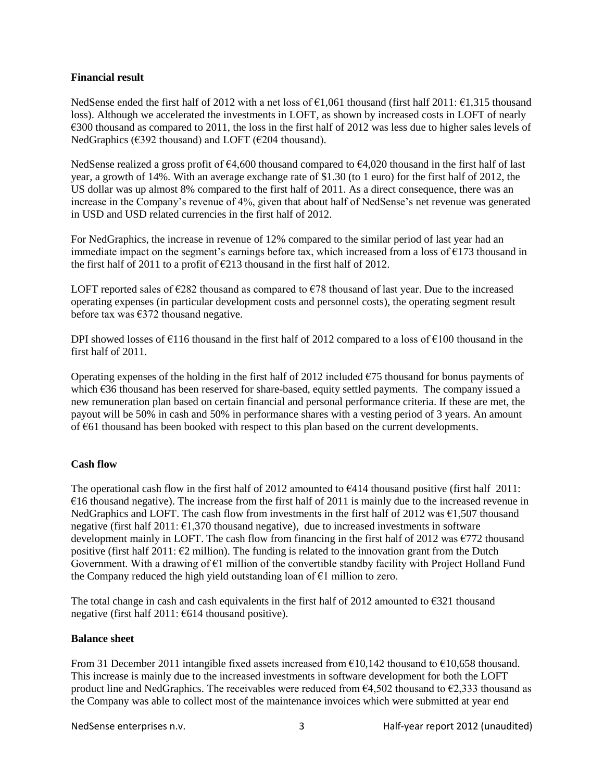# **Financial result**

NedSense ended the first half of 2012 with a net loss of  $\epsilon$ 1,061 thousand (first half 2011:  $\epsilon$ 1,315 thousand loss). Although we accelerated the investments in LOFT, as shown by increased costs in LOFT of nearly €300 thousand as compared to 2011, the loss in the first half of 2012 was less due to higher sales levels of NedGraphics ( $\epsilon$ 392 thousand) and LOFT ( $\epsilon$ 204 thousand).

NedSense realized a gross profit of  $64,600$  thousand compared to  $64,020$  thousand in the first half of last year, a growth of 14%. With an average exchange rate of \$1.30 (to 1 euro) for the first half of 2012, the US dollar was up almost 8% compared to the first half of 2011. As a direct consequence, there was an increase in the Company's revenue of 4%, given that about half of NedSense's net revenue was generated in USD and USD related currencies in the first half of 2012.

For NedGraphics, the increase in revenue of 12% compared to the similar period of last year had an immediate impact on the segment's earnings before tax, which increased from a loss of  $\epsilon$ 173 thousand in the first half of 2011 to a profit of  $\epsilon$ 213 thousand in the first half of 2012.

LOFT reported sales of  $\epsilon$ 282 thousand as compared to  $\epsilon$ 78 thousand of last year. Due to the increased operating expenses (in particular development costs and personnel costs), the operating segment result before tax was  $\epsilon$ 372 thousand negative.

DPI showed losses of €116 thousand in the first half of 2012 compared to a loss of €100 thousand in the first half of 2011.

Operating expenses of the holding in the first half of 2012 included  $\epsilon$ 75 thousand for bonus payments of which €36 thousand has been reserved for share-based, equity settled payments. The company issued a new remuneration plan based on certain financial and personal performance criteria. If these are met, the payout will be 50% in cash and 50% in performance shares with a vesting period of 3 years. An amount of €61 thousand has been booked with respect to this plan based on the current developments.

# **Cash flow**

The operational cash flow in the first half of 2012 amounted to  $\epsilon$ 414 thousand positive (first half 2011:  $€16$  thousand negative). The increase from the first half of 2011 is mainly due to the increased revenue in NedGraphics and LOFT. The cash flow from investments in the first half of 2012 was  $\epsilon$ 1,507 thousand negative (first half  $2011: \text{ } \text{\textsterling}1,370$  thousand negative), due to increased investments in software development mainly in LOFT. The cash flow from financing in the first half of 2012 was  $\epsilon$ 772 thousand positive (first half 2011:  $\epsilon$ 2 million). The funding is related to the innovation grant from the Dutch Government. With a drawing of €1 million of the convertible standby facility with Project Holland Fund the Company reduced the high yield outstanding loan of  $E1$  million to zero.

The total change in cash and cash equivalents in the first half of 2012 amounted to  $\epsilon$ 321 thousand negative (first half 2011: €614 thousand positive).

# **Balance sheet**

From 31 December 2011 intangible fixed assets increased from  $\epsilon$ 10,142 thousand to  $\epsilon$ 10,658 thousand. This increase is mainly due to the increased investments in software development for both the LOFT product line and NedGraphics. The receivables were reduced from  $64,502$  thousand to  $62,333$  thousand as the Company was able to collect most of the maintenance invoices which were submitted at year end

NedSense enterprises n.v. The same control of the sense of the Half-year report 2012 (unaudited)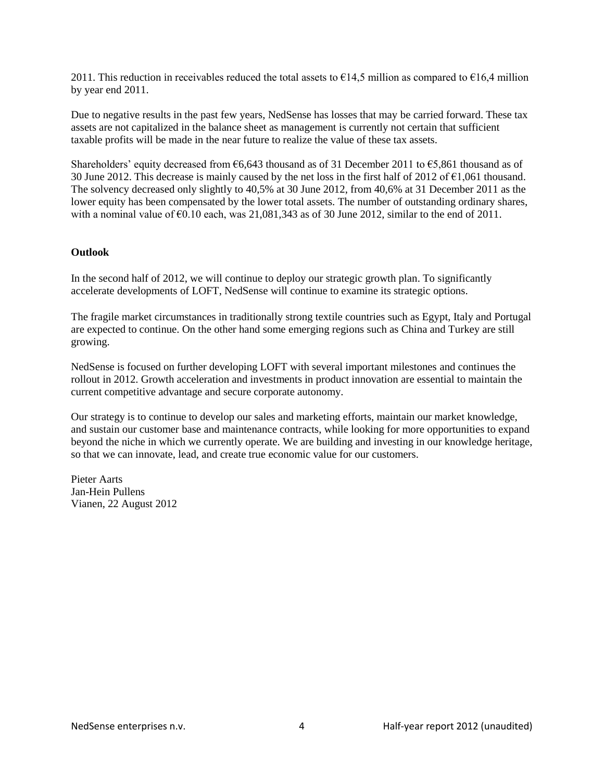2011. This reduction in receivables reduced the total assets to  $\epsilon$ 14,5 million as compared to  $\epsilon$ 16,4 million by year end 2011.

Due to negative results in the past few years, NedSense has losses that may be carried forward. These tax assets are not capitalized in the balance sheet as management is currently not certain that sufficient taxable profits will be made in the near future to realize the value of these tax assets.

Shareholders' equity decreased from  $66,643$  thousand as of 31 December 2011 to  $65,861$  thousand as of 30 June 2012. This decrease is mainly caused by the net loss in the first half of 2012 of  $\epsilon$ 1,061 thousand. The solvency decreased only slightly to 40,5% at 30 June 2012, from 40,6% at 31 December 2011 as the lower equity has been compensated by the lower total assets. The number of outstanding ordinary shares, with a nominal value of  $\epsilon$ 0.10 each, was 21,081,343 as of 30 June 2012, similar to the end of 2011.

# **Outlook**

In the second half of 2012, we will continue to deploy our strategic growth plan. To significantly accelerate developments of LOFT, NedSense will continue to examine its strategic options.

The fragile market circumstances in traditionally strong textile countries such as Egypt, Italy and Portugal are expected to continue. On the other hand some emerging regions such as China and Turkey are still growing.

NedSense is focused on further developing LOFT with several important milestones and continues the rollout in 2012. Growth acceleration and investments in product innovation are essential to maintain the current competitive advantage and secure corporate autonomy.

Our strategy is to continue to develop our sales and marketing efforts, maintain our market knowledge, and sustain our customer base and maintenance contracts, while looking for more opportunities to expand beyond the niche in which we currently operate. We are building and investing in our knowledge heritage, so that we can innovate, lead, and create true economic value for our customers.

Pieter Aarts Jan-Hein Pullens Vianen, 22 August 2012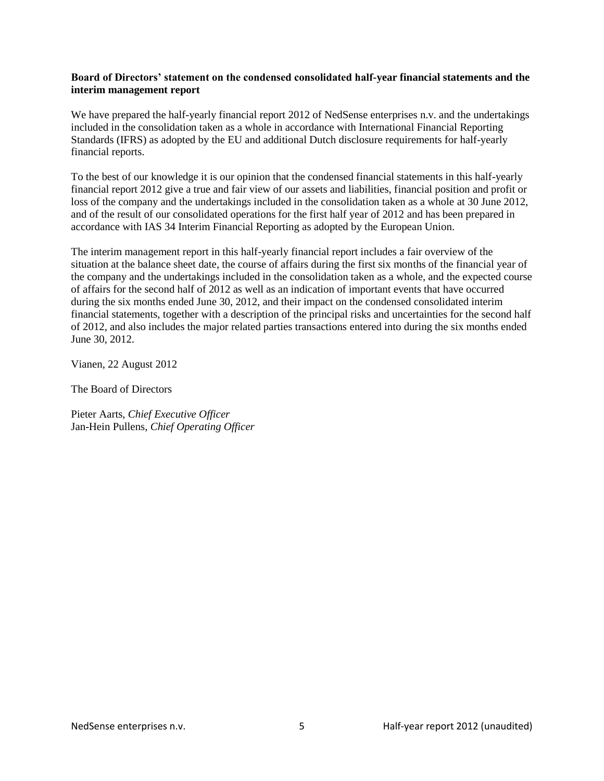### **Board of Directors' statement on the condensed consolidated half-year financial statements and the interim management report**

We have prepared the half-yearly financial report 2012 of NedSense enterprises n.v. and the undertakings included in the consolidation taken as a whole in accordance with International Financial Reporting Standards (IFRS) as adopted by the EU and additional Dutch disclosure requirements for half-yearly financial reports.

To the best of our knowledge it is our opinion that the condensed financial statements in this half-yearly financial report 2012 give a true and fair view of our assets and liabilities, financial position and profit or loss of the company and the undertakings included in the consolidation taken as a whole at 30 June 2012, and of the result of our consolidated operations for the first half year of 2012 and has been prepared in accordance with IAS 34 Interim Financial Reporting as adopted by the European Union.

The interim management report in this half-yearly financial report includes a fair overview of the situation at the balance sheet date, the course of affairs during the first six months of the financial year of the company and the undertakings included in the consolidation taken as a whole, and the expected course of affairs for the second half of 2012 as well as an indication of important events that have occurred during the six months ended June 30, 2012, and their impact on the condensed consolidated interim financial statements, together with a description of the principal risks and uncertainties for the second half of 2012, and also includes the major related parties transactions entered into during the six months ended June 30, 2012.

Vianen, 22 August 2012

The Board of Directors

Pieter Aarts, *Chief Executive Officer* Jan-Hein Pullens, *Chief Operating Officer*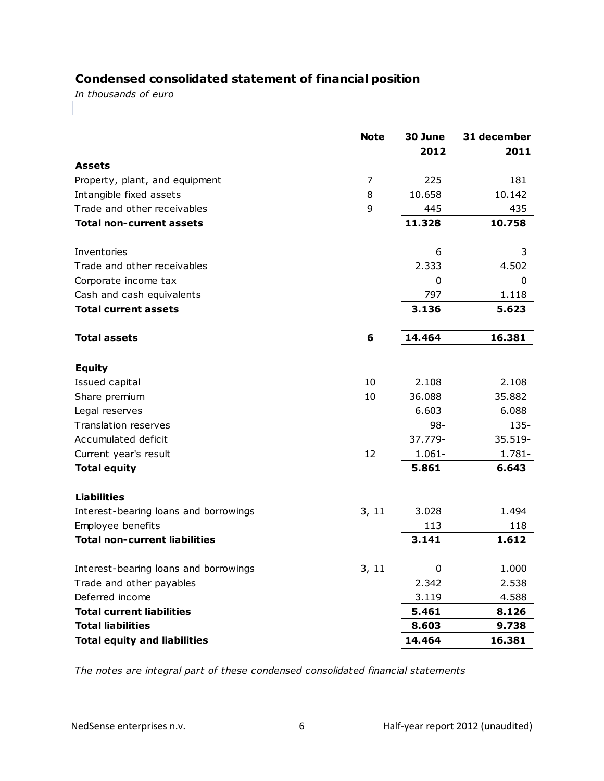# **Condensed consolidated statement of financial position**

*In thousands of euro*

|                                       | <b>Note</b> | 30 June<br>2012 | 31 december<br>2011 |
|---------------------------------------|-------------|-----------------|---------------------|
| <b>Assets</b>                         |             |                 |                     |
| Property, plant, and equipment        | 7           | 225             | 181                 |
| Intangible fixed assets               | 8           | 10.658          | 10.142              |
| Trade and other receivables           | 9           | 445             | 435                 |
| <b>Total non-current assets</b>       |             | 11.328          | 10.758              |
| Inventories                           |             | 6               | 3                   |
| Trade and other receivables           |             | 2.333           | 4.502               |
| Corporate income tax                  |             | 0               | 0                   |
| Cash and cash equivalents             |             | 797             | 1.118               |
| <b>Total current assets</b>           |             | 3.136           | 5.623               |
| <b>Total assets</b>                   | 6           | 14.464          | 16.381              |
| <b>Equity</b>                         |             |                 |                     |
| Issued capital                        | 10          | 2.108           | 2.108               |
| Share premium                         | 10          | 36.088          | 35.882              |
| Legal reserves                        |             | 6.603           | 6.088               |
| Translation reserves                  |             | $98 -$          | $135 -$             |
| Accumulated deficit                   |             | 37.779-         | 35.519-             |
| Current year's result                 | 12          | $1.061 -$       | $1.781 -$           |
| <b>Total equity</b>                   |             | 5.861           | 6.643               |
| <b>Liabilities</b>                    |             |                 |                     |
| Interest-bearing loans and borrowings | 3, 11       | 3.028           | 1.494               |
| Employee benefits                     |             | 113             | 118                 |
| <b>Total non-current liabilities</b>  |             | 3.141           | 1.612               |
| Interest-bearing loans and borrowings | 3, 11       | 0               | 1.000               |
| Trade and other payables              |             | 2.342           | 2.538               |
| Deferred income                       |             | 3.119           | 4.588               |
| <b>Total current liabilities</b>      |             | 5.461           | 8.126               |
| <b>Total liabilities</b>              |             | 8.603           | 9.738               |
| <b>Total equity and liabilities</b>   |             | 14.464          | 16.381              |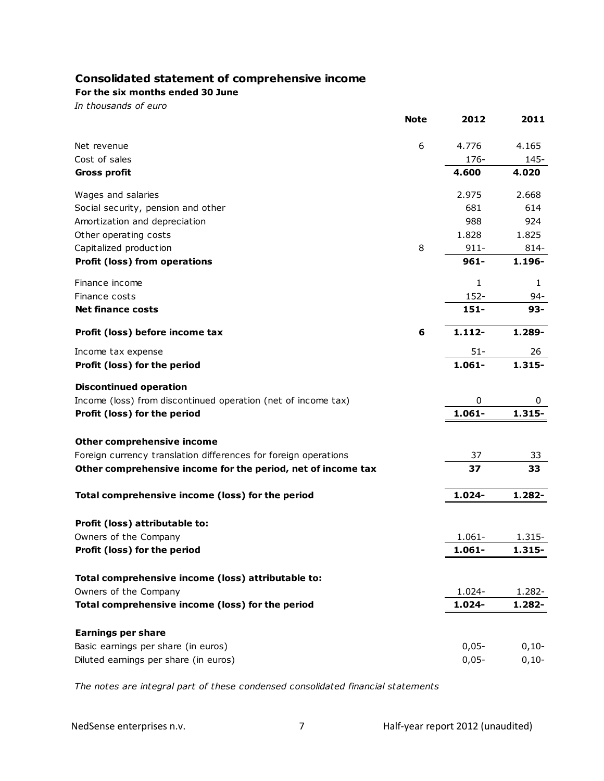# **Consolidated statement of comprehensive income**

**For the six months ended 30 June**

*In thousands of euro*

|                                                                 | <b>Note</b> | 2012      | 2011      |
|-----------------------------------------------------------------|-------------|-----------|-----------|
| Net revenue                                                     | 6           | 4.776     | 4.165     |
| Cost of sales                                                   |             | $176 -$   | 145-      |
| <b>Gross profit</b>                                             |             | 4.600     | 4.020     |
| Wages and salaries                                              |             | 2.975     | 2.668     |
| Social security, pension and other                              |             | 681       | 614       |
| Amortization and depreciation                                   |             | 988       | 924       |
| Other operating costs                                           |             | 1.828     | 1.825     |
| Capitalized production                                          | 8           | $911 -$   | 814-      |
| Profit (loss) from operations                                   |             | $961 -$   | 1.196-    |
| Finance income                                                  |             | 1         | 1         |
| Finance costs                                                   |             | 152-      | 94-       |
| <b>Net finance costs</b>                                        |             | $151 -$   | $93 -$    |
| Profit (loss) before income tax                                 | 6           | $1.112 -$ | 1.289-    |
| Income tax expense                                              |             | $51 -$    | 26        |
| Profit (loss) for the period                                    |             | $1.061 -$ | $1.315 -$ |
| <b>Discontinued operation</b>                                   |             |           |           |
| Income (loss) from discontinued operation (net of income tax)   |             | 0         | 0         |
| Profit (loss) for the period                                    |             | $1.061 -$ | $1.315 -$ |
| <b>Other comprehensive income</b>                               |             |           |           |
| Foreign currency translation differences for foreign operations |             | 37        | 33        |
| Other comprehensive income for the period, net of income tax    |             | 37        | 33        |
| Total comprehensive income (loss) for the period                |             | 1.024-    | 1.282-    |
|                                                                 |             |           |           |
| Profit (loss) attributable to:<br>Owners of the Company         |             | $1.061 -$ | 1.315-    |
| Profit (loss) for the period                                    |             | 1.061-    | $1.315 -$ |
|                                                                 |             |           |           |
| Total comprehensive income (loss) attributable to:              |             |           |           |
| Owners of the Company                                           |             | 1.024-    | 1.282-    |
| Total comprehensive income (loss) for the period                |             | 1.024-    | 1.282-    |
| <b>Earnings per share</b>                                       |             |           |           |
| Basic earnings per share (in euros)                             |             | $0,05 -$  | $0,10-$   |
| Diluted earnings per share (in euros)                           |             | $0,05-$   | $0,10-$   |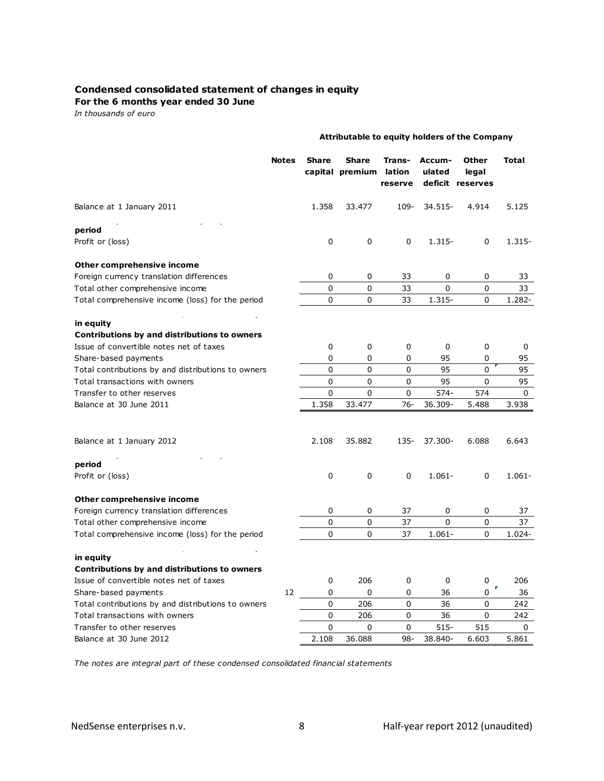#### **Condensed consolidated statement of changes in equity**

#### **For the 6 months year ended 30 June**

*In thousands of euro*

|                                                    | Attributable to equity holders of the Company |              |                                 |                             |                  |                                    |           |  |  |  |  |
|----------------------------------------------------|-----------------------------------------------|--------------|---------------------------------|-----------------------------|------------------|------------------------------------|-----------|--|--|--|--|
|                                                    | <b>Notes</b>                                  | <b>Share</b> | <b>Share</b><br>capital premium | Trans-<br>lation<br>reserve | Accum-<br>ulated | Other<br>legal<br>deficit reserves | Total     |  |  |  |  |
| Balance at 1 January 2011                          |                                               | 1.358        | 33.477                          | 109-                        | 34.515-          | 4.914                              | 5.125     |  |  |  |  |
| period                                             |                                               |              |                                 |                             |                  |                                    |           |  |  |  |  |
| Profit or (loss)                                   |                                               | 0            | 0                               | 0                           | 1.315-           | 0                                  | $1.315 -$ |  |  |  |  |
| Other comprehensive income                         |                                               |              |                                 |                             |                  |                                    |           |  |  |  |  |
| Foreign currency translation differences           |                                               | 0            | 0                               | 33                          | 0                | 0                                  | 33        |  |  |  |  |
| Total other comprehensive income                   |                                               | 0            | 0                               | 33                          | 0                | $\mathbf 0$                        | 33        |  |  |  |  |
| Total comprehensive income (loss) for the period   |                                               | 0            | 0                               | 33                          | 1.315-           | 0                                  | 1.282-    |  |  |  |  |
| in equity                                          |                                               |              |                                 |                             |                  |                                    |           |  |  |  |  |
| Contributions by and distributions to owners       |                                               |              |                                 |                             |                  |                                    |           |  |  |  |  |
| Issue of convertible notes net of taxes            |                                               | 0            | 0                               | 0                           | 0                | 0                                  | 0         |  |  |  |  |
| Share-based payments                               |                                               | 0            | 0                               | 0                           | 95               | 0                                  | 95        |  |  |  |  |
| Total contributions by and distributions to owners |                                               | 0            | 0                               | 0                           | 95               | 0                                  | 95        |  |  |  |  |
| Total transactions with owners                     |                                               | 0            | 0                               | 0                           | 95               | $\mathbf 0$                        | 95        |  |  |  |  |
| Transfer to other reserves                         |                                               | 0            | $\Omega$                        | 0                           | 574-             | 574                                | 0         |  |  |  |  |
| Balance at 30 June 2011                            |                                               | 1.358        | 33.477                          | 76-                         | 36.309-          | 5.488                              | 3.938     |  |  |  |  |
| Balance at 1 January 2012                          |                                               | 2.108        | 35.882                          | $135 -$                     | 37.300-          | 6.088                              | 6.643     |  |  |  |  |
| period                                             |                                               |              |                                 |                             |                  |                                    |           |  |  |  |  |
| Profit or (loss)                                   |                                               | 0            | 0                               | 0                           | $1.061 -$        | 0                                  | $1.061 -$ |  |  |  |  |
| Other comprehensive income                         |                                               |              |                                 |                             |                  |                                    |           |  |  |  |  |
| Foreign currency translation differences           |                                               | 0            | 0                               | 37                          | 0                | 0                                  | 37        |  |  |  |  |
| Total other comprehensive income                   |                                               | 0            | 0                               | 37                          | 0                | 0                                  | 37        |  |  |  |  |
| Total comprehensive income (loss) for the period   |                                               | 0            | 0                               | 37                          | $1.061 -$        | 0                                  | 1.024-    |  |  |  |  |
| in equity                                          |                                               |              |                                 |                             |                  |                                    |           |  |  |  |  |
| Contributions by and distributions to owners       |                                               |              |                                 |                             |                  |                                    |           |  |  |  |  |
| Issue of convertible notes net of taxes            |                                               | 0            | 206                             | 0                           | 0                | 0                                  | 206       |  |  |  |  |
| Share-based payments                               | 12                                            | 0            | 0                               | 0                           | 36               | 0                                  | 36        |  |  |  |  |
| Total contributions by and distributions to owners |                                               | 0            | 206                             | 0                           | 36               | 0                                  | 242       |  |  |  |  |
| Total transactions with owners                     |                                               | 0            | 206                             | 0                           | 36               | 0                                  | 242       |  |  |  |  |
| Transfer to other reserves                         |                                               | 0            | 0                               | 0                           | $515-$           | 515                                | 0         |  |  |  |  |
| Balance at 30 June 2012                            |                                               | 2.108        | 36.088                          | $98 -$                      | 38.840-          | 6.603                              | 5.861     |  |  |  |  |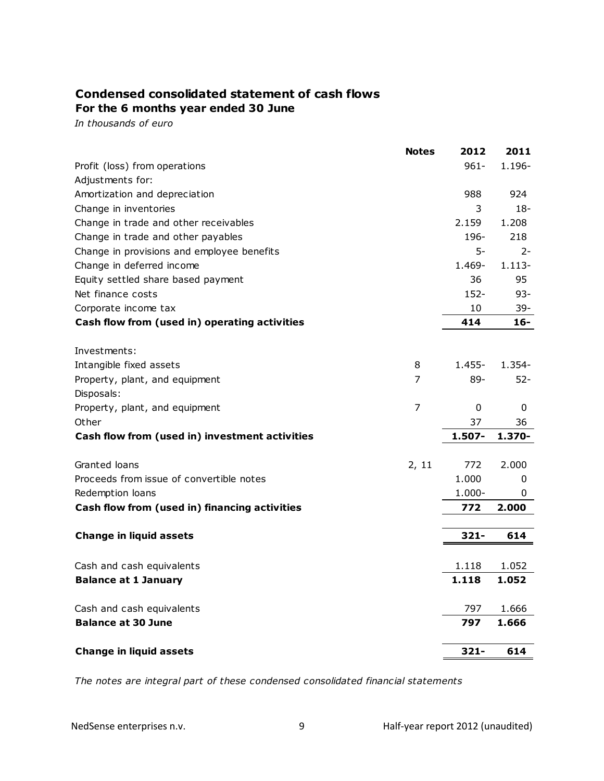# **Condensed consolidated statement of cash flows For the 6 months year ended 30 June**

*In thousands of euro*

|                                                | <b>Notes</b>   | 2012           | 2011      |
|------------------------------------------------|----------------|----------------|-----------|
| Profit (loss) from operations                  |                | $961 -$        | $1.196 -$ |
| Adjustments for:                               |                |                |           |
| Amortization and depreciation                  |                | 988            | 924       |
| Change in inventories                          |                | 3              | $18-$     |
| Change in trade and other receivables          |                | 2.159          | 1.208     |
| Change in trade and other payables             |                | 196-           | 218       |
| Change in provisions and employee benefits     |                | 5-             | $2 -$     |
| Change in deferred income                      |                | 1.469-         | $1.113 -$ |
| Equity settled share based payment             |                | 36             | 95        |
| Net finance costs                              |                | 152-           | $93 -$    |
| Corporate income tax                           |                | 10             | $39 -$    |
| Cash flow from (used in) operating activities  |                | 414            | 16-       |
|                                                |                |                |           |
| Investments:                                   |                |                |           |
| Intangible fixed assets                        | 8              | $1.455 -$      | $1.354 -$ |
| Property, plant, and equipment                 | 7              | 89-            | $52 -$    |
| Disposals:                                     |                |                |           |
| Property, plant, and equipment                 | $\overline{7}$ | 0              | 0         |
| Other                                          |                | 37             | 36        |
| Cash flow from (used in) investment activities |                | 1.507-         | 1.370-    |
| Granted loans                                  | 2, 11          | 772            | 2.000     |
| Proceeds from issue of convertible notes       |                | 1.000          | 0         |
| Redemption loans                               |                | $1.000 -$      | 0         |
| Cash flow from (used in) financing activities  |                | 772            | 2.000     |
|                                                |                |                |           |
| <b>Change in liquid assets</b>                 |                | $321 -$        | 614       |
|                                                |                |                |           |
| Cash and cash equivalents                      |                | 1.118<br>1.118 | 1.052     |
| <b>Balance at 1 January</b>                    |                |                | 1.052     |
| Cash and cash equivalents                      |                | 797            | 1.666     |
| <b>Balance at 30 June</b>                      |                | 797            | 1.666     |
| <b>Change in liquid assets</b>                 |                | $321 -$        | 614       |
|                                                |                |                |           |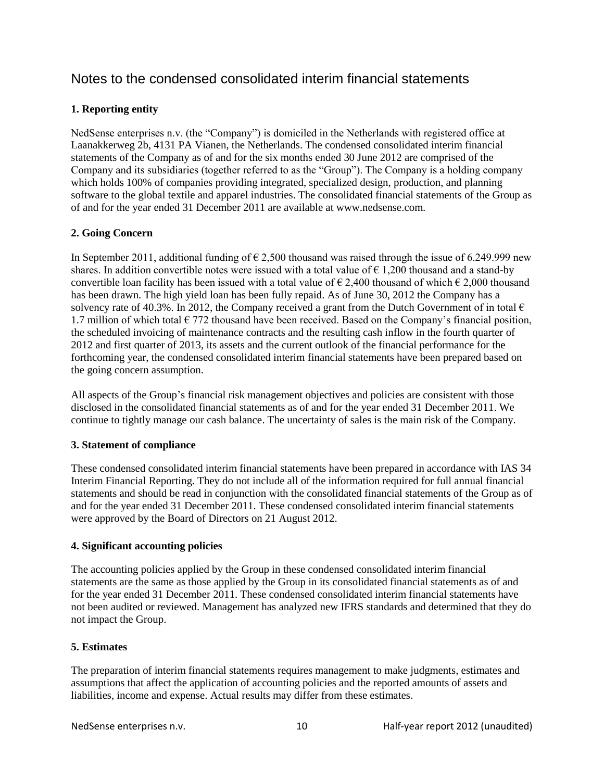# Notes to the condensed consolidated interim financial statements

# **1. Reporting entity**

NedSense enterprises n.v. (the "Company") is domiciled in the Netherlands with registered office at Laanakkerweg 2b, 4131 PA Vianen, the Netherlands. The condensed consolidated interim financial statements of the Company as of and for the six months ended 30 June 2012 are comprised of the Company and its subsidiaries (together referred to as the "Group"). The Company is a holding company which holds 100% of companies providing integrated, specialized design, production, and planning software to the global textile and apparel industries. The consolidated financial statements of the Group as of and for the year ended 31 December 2011 are available at www.nedsense.com.

# **2. Going Concern**

In September 2011, additional funding of  $\epsilon$  2,500 thousand was raised through the issue of 6.249.999 new shares. In addition convertible notes were issued with a total value of  $\epsilon$  1,200 thousand and a stand-by convertible loan facility has been issued with a total value of  $\epsilon$  2,400 thousand of which  $\epsilon$  2,000 thousand has been drawn. The high yield loan has been fully repaid. As of June 30, 2012 the Company has a solvency rate of 40.3%. In 2012, the Company received a grant from the Dutch Government of in total  $\epsilon$ 1.7 million of which total  $\epsilon$  772 thousand have been received. Based on the Company's financial position, the scheduled invoicing of maintenance contracts and the resulting cash inflow in the fourth quarter of 2012 and first quarter of 2013, its assets and the current outlook of the financial performance for the forthcoming year, the condensed consolidated interim financial statements have been prepared based on the going concern assumption.

All aspects of the Group's financial risk management objectives and policies are consistent with those disclosed in the consolidated financial statements as of and for the year ended 31 December 2011. We continue to tightly manage our cash balance. The uncertainty of sales is the main risk of the Company.

# **3. Statement of compliance**

These condensed consolidated interim financial statements have been prepared in accordance with IAS 34 Interim Financial Reporting. They do not include all of the information required for full annual financial statements and should be read in conjunction with the consolidated financial statements of the Group as of and for the year ended 31 December 2011. These condensed consolidated interim financial statements were approved by the Board of Directors on 21 August 2012.

# **4. Significant accounting policies**

The accounting policies applied by the Group in these condensed consolidated interim financial statements are the same as those applied by the Group in its consolidated financial statements as of and for the year ended 31 December 2011. These condensed consolidated interim financial statements have not been audited or reviewed. Management has analyzed new IFRS standards and determined that they do not impact the Group.

# **5. Estimates**

The preparation of interim financial statements requires management to make judgments, estimates and assumptions that affect the application of accounting policies and the reported amounts of assets and liabilities, income and expense. Actual results may differ from these estimates.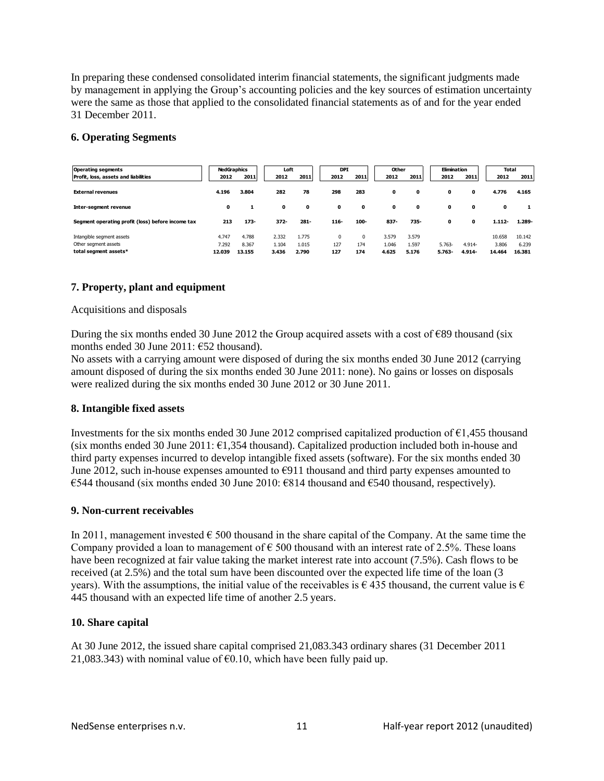In preparing these condensed consolidated interim financial statements, the significant judgments made by management in applying the Group's accounting policies and the key sources of estimation uncertainty were the same as those that applied to the consolidated financial statements as of and for the year ended 31 December 2011.

# **6. Operating Segments**

| <b>Operating segments</b>                         | <b>NedGraphics</b> |         | Loft  |       | <b>DPI</b> |          | Other    |       | Elimination  |          | Total        |           |        |
|---------------------------------------------------|--------------------|---------|-------|-------|------------|----------|----------|-------|--------------|----------|--------------|-----------|--------|
| Profit, loss, assets and liabilities              | 2012               | 2011    | 2012  | 2011  |            | 2012     | 2011     | 2012  | 2011         | 2012     | 2011         | 2012      | 2011   |
| <b>External revenues</b>                          | 4.196              | 3.804   | 282   | 78    |            | 298      | 283      | 0     | 0            | 0        | 0            | 4.776     | 4.165  |
| Inter-seament revenue                             | 0                  |         | 0     | 0     |            | 0        | 0        | 0     | $\mathbf{0}$ | 0        | $\mathbf{0}$ | 0         |        |
| Segment operating profit (loss) before income tax | 213                | $173 -$ | 372-  | 281-  |            | $116 -$  | 100-     | 837-  | 735-         | 0        | 0            | $1.112 -$ | 1.289- |
| Intangible segment assets                         | 4.747              | 4.788   | 2.332 | 1.775 |            | $\Omega$ | $\Omega$ | 3.579 | 3.579        |          |              | 10.658    | 10.142 |
| Other segment assets                              | 7.292              | 8.367   | 1.104 | 1.015 |            | 127      | 174      | 1.046 | 1.597        | $5.763-$ | 4.914-       | 3.806     | 6.239  |
| total segment assets*                             | 12.039             | 13.155  | 3.436 | 2.790 |            | 127      | 174      | 4.625 | 5.176        | 5.763-   | 4.914-       | 14.464    | 16.381 |

# **7. Property, plant and equipment**

# Acquisitions and disposals

During the six months ended 30 June 2012 the Group acquired assets with a cost of  $\epsilon$ 89 thousand (six months ended 30 June 2011: €52 thousand).

No assets with a carrying amount were disposed of during the six months ended 30 June 2012 (carrying amount disposed of during the six months ended 30 June 2011: none). No gains or losses on disposals were realized during the six months ended 30 June 2012 or 30 June 2011.

# **8. Intangible fixed assets**

Investments for the six months ended 30 June 2012 comprised capitalized production of  $\epsilon$ 1,455 thousand (six months ended 30 June 2011:  $\epsilon$ 1,354 thousand). Capitalized production included both in-house and third party expenses incurred to develop intangible fixed assets (software). For the six months ended 30 June 2012, such in-house expenses amounted to  $\epsilon$ 911 thousand and third party expenses amounted to €544 thousand (six months ended 30 June 2010: €814 thousand and €540 thousand, respectively).

# **9. Non-current receivables**

In 2011, management invested  $\epsilon$  500 thousand in the share capital of the Company. At the same time the Company provided a loan to management of  $\epsilon$  500 thousand with an interest rate of 2.5%. These loans have been recognized at fair value taking the market interest rate into account (7.5%). Cash flows to be received (at 2.5%) and the total sum have been discounted over the expected life time of the loan (3 years). With the assumptions, the initial value of the receivables is  $\epsilon$  435 thousand, the current value is  $\epsilon$ 445 thousand with an expected life time of another 2.5 years.

# **10. Share capital**

At 30 June 2012, the issued share capital comprised 21,083.343 ordinary shares (31 December 2011 21,083.343) with nominal value of  $\epsilon$ 0.10, which have been fully paid up.